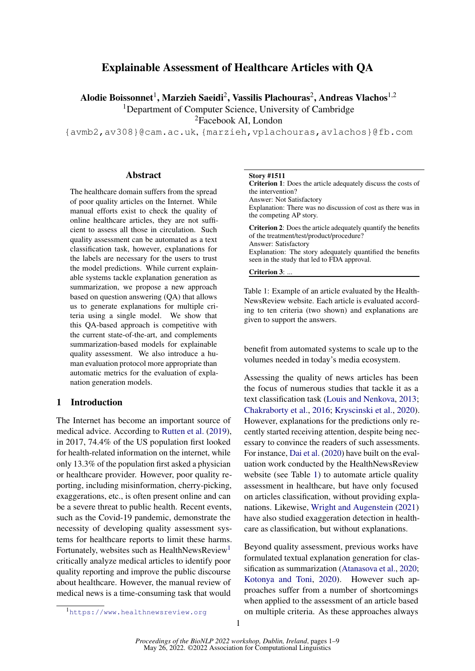# <span id="page-0-1"></span>Explainable Assessment of Healthcare Articles with QA

Alodie Boissonnet $^1$ , Marzieh Saeidi $^2$ , Vassilis Plachouras $^2$ , Andreas Vlachos $^{1,2}$ 

<sup>1</sup>Department of Computer Science, University of Cambridge

<sup>2</sup>Facebook AI, London

{avmb2,av308}@cam.ac.uk, {marzieh,vplachouras,avlachos}@fb.com

### **Abstract**

The healthcare domain suffers from the spread of poor quality articles on the Internet. While manual efforts exist to check the quality of online healthcare articles, they are not sufficient to assess all those in circulation. Such quality assessment can be automated as a text classification task, however, explanations for the labels are necessary for the users to trust the model predictions. While current explainable systems tackle explanation generation as summarization, we propose a new approach based on question answering (QA) that allows us to generate explanations for multiple criteria using a single model. We show that this QA-based approach is competitive with the current state-of-the-art, and complements summarization-based models for explainable quality assessment. We also introduce a human evaluation protocol more appropriate than automatic metrics for the evaluation of explanation generation models.

#### 1 Introduction

The Internet has become an important source of medical advice. According to [Rutten et al.](#page-5-0) [\(2019\)](#page-5-0), in 2017, 74.4% of the US population first looked for health-related information on the internet, while only 13.3% of the population first asked a physician or healthcare provider. However, poor quality reporting, including misinformation, cherry-picking, exaggerations, etc., is often present online and can be a severe threat to public health. Recent events, such as the Covid-19 pandemic, demonstrate the necessity of developing quality assessment systems for healthcare reports to limit these harms. Fortunately, websites such as HealthNewsReview<sup>1</sup> critically analyze medical articles to identify poor quality reporting and improve the public discourse about healthcare. However, the manual review of medical news is a time-consuming task that would

#### <span id="page-0-0"></span>Story #1511

Criterion 1: Does the article adequately discuss the costs of the intervention? Answer: Not Satisfactory Explanation: There was no discussion of cost as there was in the competing AP story. Criterion 2: Does the article adequately quantify the benefits of the treatment/test/product/procedure? Answer: Satisfactory Explanation: The story adequately quantified the benefits seen in the study that led to FDA approval. Criterion 3: ...

Table 1: Example of an article evaluated by the Health-NewsReview website. Each article is evaluated according to ten criteria (two shown) and explanations are given to support the answers.

benefit from automated systems to scale up to the volumes needed in today's media ecosystem.

Assessing the quality of news articles has been the focus of numerous studies that tackle it as a text classification task [\(Louis and Nenkova,](#page-5-1) [2013;](#page-5-1) [Chakraborty et al.,](#page-4-0) [2016;](#page-4-0) [Kryscinski et al.,](#page-5-2) [2020\)](#page-5-2). However, explanations for the predictions only recently started receiving attention, despite being necessary to convince the readers of such assessments. For instance, [Dai et al.](#page-5-3) [\(2020\)](#page-5-3) have built on the evaluation work conducted by the HealthNewsReview website (see Table [1\)](#page-0-0) to automate article quality assessment in healthcare, but have only focused on articles classification, without providing explanations. Likewise, [Wright and Augenstein](#page-5-4) [\(2021\)](#page-5-4) have also studied exaggeration detection in healthcare as classification, but without explanations.

Beyond quality assessment, previous works have formulated textual explanation generation for classification as summarization [\(Atanasova et al.,](#page-4-1) [2020;](#page-4-1) [Kotonya and Toni,](#page-5-5) [2020\)](#page-5-5). However such approaches suffer from a number of shortcomings when applied to the assessment of an article based on multiple criteria. As these approaches always

<sup>1</sup><https://www.healthnewsreview.org>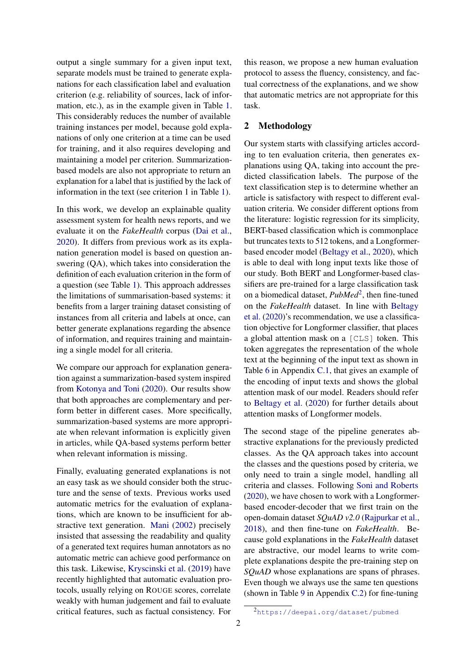output a single summary for a given input text, separate models must be trained to generate explanations for each classification label and evaluation criterion (e.g. reliability of sources, lack of information, etc.), as in the example given in Table [1.](#page-0-0) This considerably reduces the number of available training instances per model, because gold explanations of only one criterion at a time can be used for training, and it also requires developing and maintaining a model per criterion. Summarizationbased models are also not appropriate to return an explanation for a label that is justified by the lack of information in the text (see criterion 1 in Table [1\)](#page-0-0).

In this work, we develop an explainable quality assessment system for health news reports, and we evaluate it on the *FakeHealth* corpus [\(Dai et al.,](#page-5-3) [2020\)](#page-5-3). It differs from previous work as its explanation generation model is based on question answering (QA), which takes into consideration the definition of each evaluation criterion in the form of a question (see Table [1\)](#page-0-0). This approach addresses the limitations of summarisation-based systems: it benefits from a larger training dataset consisting of instances from all criteria and labels at once, can better generate explanations regarding the absence of information, and requires training and maintaining a single model for all criteria.

We compare our approach for explanation generation against a summarization-based system inspired from [Kotonya and Toni](#page-5-5) [\(2020\)](#page-5-5). Our results show that both approaches are complementary and perform better in different cases. More specifically, summarization-based systems are more appropriate when relevant information is explicitly given in articles, while QA-based systems perform better when relevant information is missing.

Finally, evaluating generated explanations is not an easy task as we should consider both the structure and the sense of texts. Previous works used automatic metrics for the evaluation of explanations, which are known to be insufficient for abstractive text generation. [Mani](#page-5-6) [\(2002\)](#page-5-6) precisely insisted that assessing the readability and quality of a generated text requires human annotators as no automatic metric can achieve good performance on this task. Likewise, [Kryscinski et al.](#page-5-7) [\(2019\)](#page-5-7) have recently highlighted that automatic evaluation protocols, usually relying on ROUGE scores, correlate weakly with human judgement and fail to evaluate critical features, such as factual consistency. For

this reason, we propose a new human evaluation protocol to assess the fluency, consistency, and factual correctness of the explanations, and we show that automatic metrics are not appropriate for this task.

## 2 Methodology

Our system starts with classifying articles according to ten evaluation criteria, then generates explanations using QA, taking into account the predicted classification labels. The purpose of the text classification step is to determine whether an article is satisfactory with respect to different evaluation criteria. We consider different options from the literature: logistic regression for its simplicity, BERT-based classification which is commonplace but truncates texts to 512 tokens, and a Longformerbased encoder model [\(Beltagy et al.,](#page-4-2) [2020\)](#page-4-2), which is able to deal with long input texts like those of our study. Both BERT and Longformer-based classifiers are pre-trained for a large classification task on a biomedical dataset, *PubMed*[2](#page-0-1) , then fine-tuned on the *FakeHealth* dataset. In line with [Beltagy](#page-4-2) [et al.](#page-4-2) [\(2020\)](#page-4-2)'s recommendation, we use a classification objective for Longformer classifier, that places a global attention mask on a [CLS] token. This token aggregates the representation of the whole text at the beginning of the input text as shown in Table [6](#page-7-0) in Appendix [C.1,](#page-6-0) that gives an example of the encoding of input texts and shows the global attention mask of our model. Readers should refer to [Beltagy et al.](#page-4-2) [\(2020\)](#page-4-2) for further details about attention masks of Longformer models.

The second stage of the pipeline generates abstractive explanations for the previously predicted classes. As the QA approach takes into account the classes and the questions posed by criteria, we only need to train a single model, handling all criteria and classes. Following [Soni and Roberts](#page-5-8) [\(2020\)](#page-5-8), we have chosen to work with a Longformerbased encoder-decoder that we first train on the open-domain dataset *SQuAD v2.0* [\(Rajpurkar et al.,](#page-5-9) [2018\)](#page-5-9), and then fine-tune on *FakeHealth*. Because gold explanations in the *FakeHealth* dataset are abstractive, our model learns to write complete explanations despite the pre-training step on *SQuAD* whose explanations are spans of phrases. Even though we always use the same ten questions (shown in Table [9](#page-8-0) in Appendix [C.2\)](#page-6-1) for fine-tuning

<sup>2</sup><https://deepai.org/dataset/pubmed>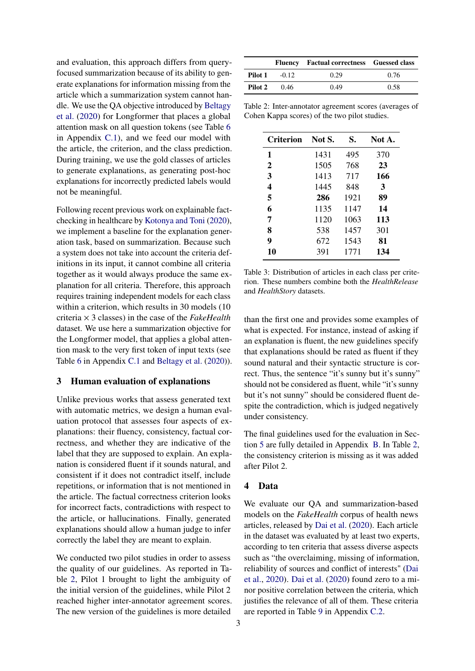and evaluation, this approach differs from queryfocused summarization because of its ability to generate explanations for information missing from the article which a summarization system cannot handle. We use the QA objective introduced by [Beltagy](#page-4-2) [et al.](#page-4-2) [\(2020\)](#page-4-2) for Longformer that places a global attention mask on all question tokens (see Table [6](#page-7-0) in Appendix [C.1\)](#page-6-0), and we feed our model with the article, the criterion, and the class prediction. During training, we use the gold classes of articles to generate explanations, as generating post-hoc explanations for incorrectly predicted labels would not be meaningful.

Following recent previous work on explainable factchecking in healthcare by [Kotonya and Toni](#page-5-5) [\(2020\)](#page-5-5), we implement a baseline for the explanation generation task, based on summarization. Because such a system does not take into account the criteria definitions in its input, it cannot combine all criteria together as it would always produce the same explanation for all criteria. Therefore, this approach requires training independent models for each class within a criterion, which results in 30 models (10) criteria × 3 classes) in the case of the *FakeHealth* dataset. We use here a summarization objective for the Longformer model, that applies a global attention mask to the very first token of input texts (see Table [6](#page-7-0) in Appendix [C.1](#page-6-0) and [Beltagy et al.](#page-4-2) [\(2020\)](#page-4-2)).

### 3 Human evaluation of explanations

Unlike previous works that assess generated text with automatic metrics, we design a human evaluation protocol that assesses four aspects of explanations: their fluency, consistency, factual correctness, and whether they are indicative of the label that they are supposed to explain. An explanation is considered fluent if it sounds natural, and consistent if it does not contradict itself, include repetitions, or information that is not mentioned in the article. The factual correctness criterion looks for incorrect facts, contradictions with respect to the article, or hallucinations. Finally, generated explanations should allow a human judge to infer correctly the label they are meant to explain.

We conducted two pilot studies in order to assess the quality of our guidelines. As reported in Table [2,](#page-2-0) Pilot 1 brought to light the ambiguity of the initial version of the guidelines, while Pilot 2 reached higher inter-annotator agreement scores. The new version of the guidelines is more detailed

<span id="page-2-0"></span>

|         |         | Fluency Factual correctness Guessed class |      |
|---------|---------|-------------------------------------------|------|
| Pilot 1 | $-0.12$ | 0.29                                      | 0.76 |
| Pilot 2 | 0.46    | 0.49                                      | 0.58 |

Table 2: Inter-annotator agreement scores (averages of Cohen Kappa scores) of the two pilot studies.

<span id="page-2-1"></span>

| Criterion    | Not S. | S.   | Not A. |
|--------------|--------|------|--------|
| 1            | 1431   | 495  | 370    |
| $\mathbf{2}$ | 1505   | 768  | 23     |
| 3            | 1413   | 717  | 166    |
| 4            | 1445   | 848  | 3      |
| 5            | 286    | 1921 | 89     |
| 6            | 1135   | 1147 | 14     |
| 7            | 1120   | 1063 | 113    |
| 8            | 538    | 1457 | 301    |
| 9            | 672    | 1543 | 81     |
| 10           | 391    | 1771 | 134    |

Table 3: Distribution of articles in each class per criterion. These numbers combine both the *HealthRelease* and *HealthStory* datasets.

than the first one and provides some examples of what is expected. For instance, instead of asking if an explanation is fluent, the new guidelines specify that explanations should be rated as fluent if they sound natural and their syntactic structure is correct. Thus, the sentence "it's sunny but it's sunny" should not be considered as fluent, while "it's sunny but it's not sunny" should be considered fluent despite the contradiction, which is judged negatively under consistency.

The final guidelines used for the evaluation in Section [5](#page-3-0) are fully detailed in Appendix [B.](#page-5-10) In Table [2,](#page-2-0) the consistency criterion is missing as it was added after Pilot 2.

## 4 Data

We evaluate our QA and summarization-based models on the *FakeHealth* corpus of health news articles, released by [Dai et al.](#page-5-3) [\(2020\)](#page-5-3). Each article in the dataset was evaluated by at least two experts, according to ten criteria that assess diverse aspects such as "the overclaiming, missing of information, reliability of sources and conflict of interests" [\(Dai](#page-5-3) [et al.,](#page-5-3) [2020\)](#page-5-3). [Dai et al.](#page-5-3) [\(2020\)](#page-5-3) found zero to a minor positive correlation between the criteria, which justifies the relevance of all of them. These criteria are reported in Table [9](#page-8-0) in Appendix [C.2.](#page-6-1)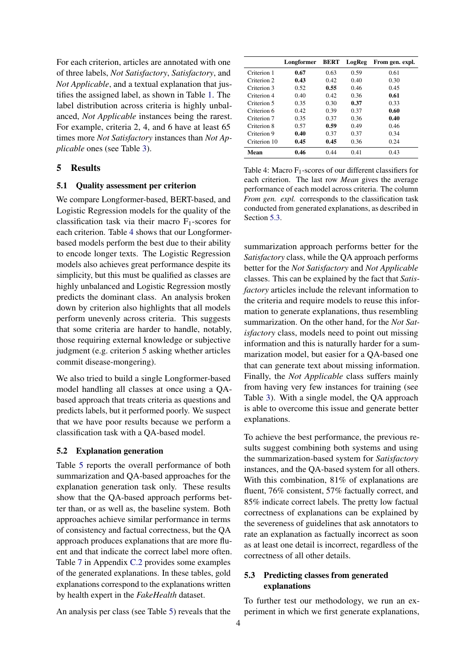For each criterion, articles are annotated with one of three labels, *Not Satisfactory*, *Satisfactory*, and *Not Applicable*, and a textual explanation that justifies the assigned label, as shown in Table [1.](#page-0-0) The label distribution across criteria is highly unbalanced, *Not Applicable* instances being the rarest. For example, criteria 2, 4, and 6 have at least 65 times more *Not Satisfactory* instances than *Not Applicable* ones (see Table [3\)](#page-2-1).

#### <span id="page-3-0"></span>5 Results

#### 5.1 Quality assessment per criterion

We compare Longformer-based, BERT-based, and Logistic Regression models for the quality of the classification task via their macro  $F_1$ -scores for each criterion. Table [4](#page-3-1) shows that our Longformerbased models perform the best due to their ability to encode longer texts. The Logistic Regression models also achieves great performance despite its simplicity, but this must be qualified as classes are highly unbalanced and Logistic Regression mostly predicts the dominant class. An analysis broken down by criterion also highlights that all models perform unevenly across criteria. This suggests that some criteria are harder to handle, notably, those requiring external knowledge or subjective judgment (e.g. criterion 5 asking whether articles commit disease-mongering).

We also tried to build a single Longformer-based model handling all classes at once using a QAbased approach that treats criteria as questions and predicts labels, but it performed poorly. We suspect that we have poor results because we perform a classification task with a QA-based model.

#### 5.2 Explanation generation

Table [5](#page-4-3) reports the overall performance of both summarization and QA-based approaches for the explanation generation task only. These results show that the QA-based approach performs better than, or as well as, the baseline system. Both approaches achieve similar performance in terms of consistency and factual correctness, but the QA approach produces explanations that are more fluent and that indicate the correct label more often. Table [7](#page-7-1) in Appendix [C.2](#page-6-1) provides some examples of the generated explanations. In these tables, gold explanations correspond to the explanations written by health expert in the *FakeHealth* dataset.

An analysis per class (see Table [5\)](#page-4-3) reveals that the

<span id="page-3-1"></span>

|                        | Longformer | <b>BERT</b> | LogReg | From gen. expl. |
|------------------------|------------|-------------|--------|-----------------|
| Criterion 1            | 0.67       | 0.63        | 0.59   | 0.61            |
| Criterion <sub>2</sub> | 0.43       | 0.42        | 0.40   | 0.30            |
| Criterion 3            | 0.52       | 0.55        | 0.46   | 0.45            |
| Criterion 4            | 0.40       | 0.42        | 0.36   | 0.61            |
| Criterion 5            | 0.35       | 0.30        | 0.37   | 0.33            |
| Criterion 6            | 0.42       | 0.39        | 0.37   | 0.60            |
| Criterion 7            | 0.35       | 0.37        | 0.36   | 0.40            |
| Criterion 8            | 0.57       | 0.59        | 0.49   | 0.46            |
| Criterion 9            | 0.40       | 0.37        | 0.37   | 0.34            |
| Criterion 10           | 0.45       | 0.45        | 0.36   | 0.24            |
| Mean                   | 0.46       | 0.44        | 0.41   | 0.43            |

Table 4: Macro  $F_1$ -scores of our different classifiers for each criterion. The last row *Mean* gives the average performance of each model across criteria. The column *From gen. expl.* corresponds to the classification task conducted from generated explanations, as described in Section [5.3.](#page-3-2)

summarization approach performs better for the *Satisfactory* class, while the QA approach performs better for the *Not Satisfactory* and *Not Applicable* classes. This can be explained by the fact that *Satisfactory* articles include the relevant information to the criteria and require models to reuse this information to generate explanations, thus resembling summarization. On the other hand, for the *Not Satisfactory* class, models need to point out missing information and this is naturally harder for a summarization model, but easier for a QA-based one that can generate text about missing information. Finally, the *Not Applicable* class suffers mainly from having very few instances for training (see Table [3\)](#page-2-1). With a single model, the QA approach is able to overcome this issue and generate better explanations.

To achieve the best performance, the previous results suggest combining both systems and using the summarization-based system for *Satisfactory* instances, and the QA-based system for all others. With this combination, 81% of explanations are fluent, 76% consistent, 57% factually correct, and 85% indicate correct labels. The pretty low factual correctness of explanations can be explained by the severeness of guidelines that ask annotators to rate an explanation as factually incorrect as soon as at least one detail is incorrect, regardless of the correctness of all other details.

## <span id="page-3-2"></span>5.3 Predicting classes from generated explanations

To further test our methodology, we run an experiment in which we first generate explanations,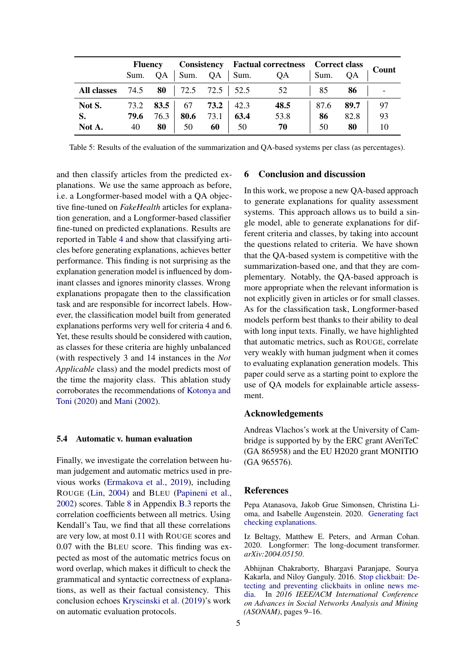<span id="page-4-3"></span>

|             | <b>Fluency</b> |      |                        | <b>Consistency</b> Factual correctness Correct class |             |      |      |      |       |
|-------------|----------------|------|------------------------|------------------------------------------------------|-------------|------|------|------|-------|
|             | Sum.           | QA   | Sum.                   |                                                      | $QA$   Sum. | QA   | Sum. | ОA   | Count |
| All classes | 74.5           | 80   | $72.5$ $72.5$   $52.5$ |                                                      |             | 52   | 85   | 86   |       |
| Not S.      | 73.2           | 83.5 | 67                     | 73.2                                                 | 42.3        | 48.5 | 87.6 | 89.7 | 97    |
| S.          | 79.6           | 76.3 | 80.6                   | 73.1                                                 | 63.4        | 53.8 | 86   | 82.8 | 93    |
| Not A.      | 40             | 80   | 50                     | 60                                                   | 50          | 70   | 50   | 80   |       |

Table 5: Results of the evaluation of the summarization and QA-based systems per class (as percentages).

and then classify articles from the predicted explanations. We use the same approach as before, i.e. a Longformer-based model with a QA objective fine-tuned on *FakeHealth* articles for explanation generation, and a Longformer-based classifier fine-tuned on predicted explanations. Results are reported in Table [4](#page-3-1) and show that classifying articles before generating explanations, achieves better performance. This finding is not surprising as the explanation generation model is influenced by dominant classes and ignores minority classes. Wrong explanations propagate then to the classification task and are responsible for incorrect labels. However, the classification model built from generated explanations performs very well for criteria 4 and 6. Yet, these results should be considered with caution, as classes for these criteria are highly unbalanced (with respectively 3 and 14 instances in the *Not Applicable* class) and the model predicts most of the time the majority class. This ablation study corroborates the recommendations of [Kotonya and](#page-5-5) [Toni](#page-5-5) [\(2020\)](#page-5-5) and [Mani](#page-5-6) [\(2002\)](#page-5-6).

#### 5.4 Automatic v. human evaluation

Finally, we investigate the correlation between human judgement and automatic metrics used in previous works [\(Ermakova et al.,](#page-5-11) [2019\)](#page-5-11), including ROUGE [\(Lin,](#page-5-12) [2004\)](#page-5-12) and BLEU [\(Papineni et al.,](#page-5-13) [2002\)](#page-5-13) scores. Table [8](#page-8-1) in Appendix [B.3](#page-6-2) reports the correlation coefficients between all metrics. Using Kendall's Tau, we find that all these correlations are very low, at most 0.11 with ROUGE scores and 0.07 with the BLEU score. This finding was expected as most of the automatic metrics focus on word overlap, which makes it difficult to check the grammatical and syntactic correctness of explanations, as well as their factual consistency. This conclusion echoes [Kryscinski et al.](#page-5-7) [\(2019\)](#page-5-7)'s work on automatic evaluation protocols.

#### 6 Conclusion and discussion

In this work, we propose a new QA-based approach to generate explanations for quality assessment systems. This approach allows us to build a single model, able to generate explanations for different criteria and classes, by taking into account the questions related to criteria. We have shown that the QA-based system is competitive with the summarization-based one, and that they are complementary. Notably, the QA-based approach is more appropriate when the relevant information is not explicitly given in articles or for small classes. As for the classification task, Longformer-based models perform best thanks to their ability to deal with long input texts. Finally, we have highlighted that automatic metrics, such as ROUGE, correlate very weakly with human judgment when it comes to evaluating explanation generation models. This paper could serve as a starting point to explore the use of QA models for explainable article assessment.

### Acknowledgements

Andreas Vlachos's work at the University of Cambridge is supported by by the ERC grant AVeriTeC (GA 865958) and the EU H2020 grant MONITIO (GA 965576).

#### References

<span id="page-4-1"></span>Pepa Atanasova, Jakob Grue Simonsen, Christina Lioma, and Isabelle Augenstein. 2020. [Generating fact](http://arxiv.org/abs/2004.05773) [checking explanations.](http://arxiv.org/abs/2004.05773)

<span id="page-4-2"></span>Iz Beltagy, Matthew E. Peters, and Arman Cohan. 2020. Longformer: The long-document transformer. *arXiv:2004.05150*.

<span id="page-4-0"></span>Abhijnan Chakraborty, Bhargavi Paranjape, Sourya Kakarla, and Niloy Ganguly. 2016. [Stop clickbait: De](https://doi.org/10.1109/ASONAM.2016.7752207)[tecting and preventing clickbaits in online news me](https://doi.org/10.1109/ASONAM.2016.7752207)[dia.](https://doi.org/10.1109/ASONAM.2016.7752207) In *2016 IEEE/ACM International Conference on Advances in Social Networks Analysis and Mining (ASONAM)*, pages 9–16.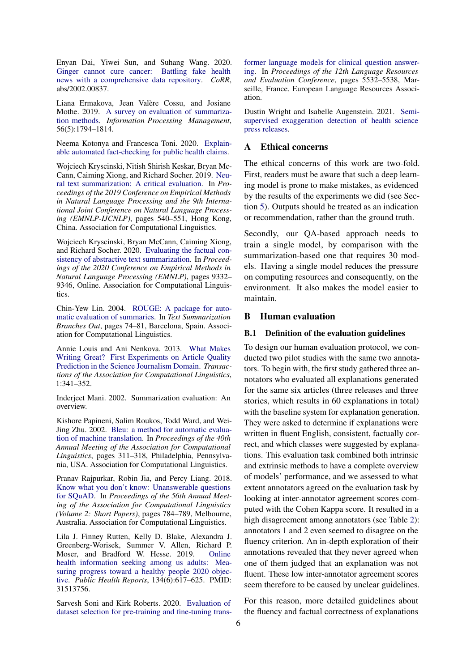<span id="page-5-3"></span>Enyan Dai, Yiwei Sun, and Suhang Wang. 2020. [Ginger cannot cure cancer: Battling fake health](http://arxiv.org/abs/2002.00837) [news with a comprehensive data repository.](http://arxiv.org/abs/2002.00837) *CoRR*, abs/2002.00837.

<span id="page-5-11"></span>Liana Ermakova, Jean Valère Cossu, and Josiane Mothe. 2019. [A survey on evaluation of summariza](https://doi.org/https://doi.org/10.1016/j.ipm.2019.04.001)[tion methods.](https://doi.org/https://doi.org/10.1016/j.ipm.2019.04.001) *Information Processing Management*, 56(5):1794–1814.

<span id="page-5-5"></span>Neema Kotonya and Francesca Toni. 2020. [Explain](http://arxiv.org/abs/2010.09926)[able automated fact-checking for public health claims.](http://arxiv.org/abs/2010.09926)

<span id="page-5-7"></span>Wojciech Kryscinski, Nitish Shirish Keskar, Bryan Mc-Cann, Caiming Xiong, and Richard Socher. 2019. [Neu](https://doi.org/10.18653/v1/D19-1051)[ral text summarization: A critical evaluation.](https://doi.org/10.18653/v1/D19-1051) In *Proceedings of the 2019 Conference on Empirical Methods in Natural Language Processing and the 9th International Joint Conference on Natural Language Processing (EMNLP-IJCNLP)*, pages 540–551, Hong Kong, China. Association for Computational Linguistics.

<span id="page-5-2"></span>Wojciech Kryscinski, Bryan McCann, Caiming Xiong, and Richard Socher. 2020. [Evaluating the factual con](https://doi.org/10.18653/v1/2020.emnlp-main.750)[sistency of abstractive text summarization.](https://doi.org/10.18653/v1/2020.emnlp-main.750) In *Proceedings of the 2020 Conference on Empirical Methods in Natural Language Processing (EMNLP)*, pages 9332– 9346, Online. Association for Computational Linguistics.

<span id="page-5-12"></span>Chin-Yew Lin. 2004. [ROUGE: A package for auto](https://www.aclweb.org/anthology/W04-1013)[matic evaluation of summaries.](https://www.aclweb.org/anthology/W04-1013) In *Text Summarization Branches Out*, pages 74–81, Barcelona, Spain. Association for Computational Linguistics.

<span id="page-5-1"></span>Annie Louis and Ani Nenkova. 2013. [What Makes](https://doi.org/10.1162/tacl_a_00232) [Writing Great? First Experiments on Article Quality](https://doi.org/10.1162/tacl_a_00232) [Prediction in the Science Journalism Domain.](https://doi.org/10.1162/tacl_a_00232) *Transactions of the Association for Computational Linguistics*, 1:341–352.

<span id="page-5-6"></span>Inderjeet Mani. 2002. Summarization evaluation: An overview.

<span id="page-5-13"></span>Kishore Papineni, Salim Roukos, Todd Ward, and Wei-Jing Zhu. 2002. [Bleu: a method for automatic evalua](https://doi.org/10.3115/1073083.1073135)[tion of machine translation.](https://doi.org/10.3115/1073083.1073135) In *Proceedings of the 40th Annual Meeting of the Association for Computational Linguistics*, pages 311–318, Philadelphia, Pennsylvania, USA. Association for Computational Linguistics.

<span id="page-5-9"></span>Pranav Rajpurkar, Robin Jia, and Percy Liang. 2018. [Know what you don't know: Unanswerable questions](https://doi.org/10.18653/v1/P18-2124) [for SQuAD.](https://doi.org/10.18653/v1/P18-2124) In *Proceedings of the 56th Annual Meeting of the Association for Computational Linguistics (Volume 2: Short Papers)*, pages 784–789, Melbourne, Australia. Association for Computational Linguistics.

<span id="page-5-0"></span>Lila J. Finney Rutten, Kelly D. Blake, Alexandra J. Greenberg-Worisek, Summer V. Allen, Richard P. Moser, and Bradford W. Hesse. 2019. [Online](https://doi.org/10.1177/0033354919874074) [health information seeking among us adults: Mea](https://doi.org/10.1177/0033354919874074)[suring progress toward a healthy people 2020 objec](https://doi.org/10.1177/0033354919874074)[tive.](https://doi.org/10.1177/0033354919874074) *Public Health Reports*, 134(6):617–625. PMID: 31513756.

<span id="page-5-8"></span>Sarvesh Soni and Kirk Roberts. 2020. [Evaluation of](https://www.aclweb.org/anthology/2020.lrec-1.679) [dataset selection for pre-training and fine-tuning trans-](https://www.aclweb.org/anthology/2020.lrec-1.679) [former language models for clinical question answer](https://www.aclweb.org/anthology/2020.lrec-1.679)[ing.](https://www.aclweb.org/anthology/2020.lrec-1.679) In *Proceedings of the 12th Language Resources and Evaluation Conference*, pages 5532–5538, Marseille, France. European Language Resources Association.

<span id="page-5-4"></span>Dustin Wright and Isabelle Augenstein. 2021. [Semi](http://arxiv.org/abs/2108.13493)[supervised exaggeration detection of health science](http://arxiv.org/abs/2108.13493) [press releases.](http://arxiv.org/abs/2108.13493)

### A Ethical concerns

The ethical concerns of this work are two-fold. First, readers must be aware that such a deep learning model is prone to make mistakes, as evidenced by the results of the experiments we did (see Section [5\)](#page-3-0). Outputs should be treated as an indication or recommendation, rather than the ground truth.

Secondly, our QA-based approach needs to train a single model, by comparison with the summarization-based one that requires 30 models. Having a single model reduces the pressure on computing resources and consequently, on the environment. It also makes the model easier to maintain.

#### <span id="page-5-10"></span>B Human evaluation

#### B.1 Definition of the evaluation guidelines

To design our human evaluation protocol, we conducted two pilot studies with the same two annotators. To begin with, the first study gathered three annotators who evaluated all explanations generated for the same six articles (three releases and three stories, which results in 60 explanations in total) with the baseline system for explanation generation. They were asked to determine if explanations were written in fluent English, consistent, factually correct, and which classes were suggested by explanations. This evaluation task combined both intrinsic and extrinsic methods to have a complete overview of models' performance, and we assessed to what extent annotators agreed on the evaluation task by looking at inter-annotator agreement scores computed with the Cohen Kappa score. It resulted in a high disagreement among annotators (see Table [2\)](#page-2-0): annotators 1 and 2 even seemed to disagree on the fluency criterion. An in-depth exploration of their annotations revealed that they never agreed when one of them judged that an explanation was not fluent. These low inter-annotator agreement scores seem therefore to be caused by unclear guidelines.

For this reason, more detailed guidelines about the fluency and factual correctness of explanations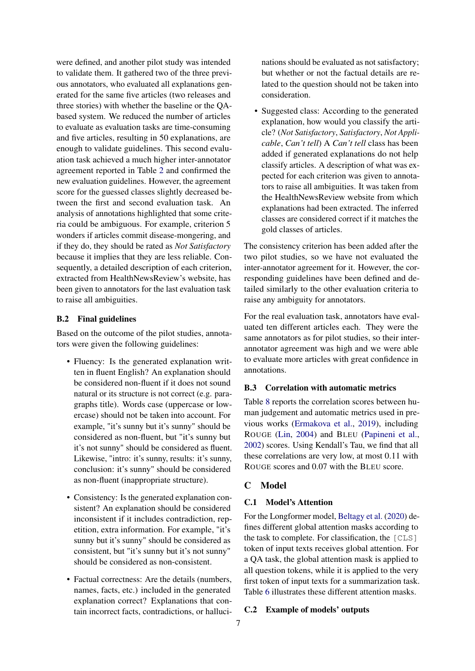were defined, and another pilot study was intended to validate them. It gathered two of the three previous annotators, who evaluated all explanations generated for the same five articles (two releases and three stories) with whether the baseline or the QAbased system. We reduced the number of articles to evaluate as evaluation tasks are time-consuming and five articles, resulting in 50 explanations, are enough to validate guidelines. This second evaluation task achieved a much higher inter-annotator agreement reported in Table [2](#page-2-0) and confirmed the new evaluation guidelines. However, the agreement score for the guessed classes slightly decreased between the first and second evaluation task. An analysis of annotations highlighted that some criteria could be ambiguous. For example, criterion 5 wonders if articles commit disease-mongering, and if they do, they should be rated as *Not Satisfactory* because it implies that they are less reliable. Consequently, a detailed description of each criterion, extracted from HealthNewsReview's website, has been given to annotators for the last evaluation task to raise all ambiguities.

### B.2 Final guidelines

Based on the outcome of the pilot studies, annotators were given the following guidelines:

- Fluency: Is the generated explanation written in fluent English? An explanation should be considered non-fluent if it does not sound natural or its structure is not correct (e.g. paragraphs title). Words case (uppercase or lowercase) should not be taken into account. For example, "it's sunny but it's sunny" should be considered as non-fluent, but "it's sunny but it's not sunny" should be considered as fluent. Likewise, "intro: it's sunny, results: it's sunny, conclusion: it's sunny" should be considered as non-fluent (inappropriate structure).
- Consistency: Is the generated explanation consistent? An explanation should be considered inconsistent if it includes contradiction, repetition, extra information. For example, "it's sunny but it's sunny" should be considered as consistent, but "it's sunny but it's not sunny" should be considered as non-consistent.
- Factual correctness: Are the details (numbers, names, facts, etc.) included in the generated explanation correct? Explanations that contain incorrect facts, contradictions, or halluci-

nations should be evaluated as not satisfactory; but whether or not the factual details are related to the question should not be taken into consideration.

• Suggested class: According to the generated explanation, how would you classify the article? (*Not Satisfactory*, *Satisfactory*, *Not Applicable*, *Can't tell*) A *Can't tell* class has been added if generated explanations do not help classify articles. A description of what was expected for each criterion was given to annotators to raise all ambiguities. It was taken from the HealthNewsReview website from which explanations had been extracted. The inferred classes are considered correct if it matches the gold classes of articles.

The consistency criterion has been added after the two pilot studies, so we have not evaluated the inter-annotator agreement for it. However, the corresponding guidelines have been defined and detailed similarly to the other evaluation criteria to raise any ambiguity for annotators.

For the real evaluation task, annotators have evaluated ten different articles each. They were the same annotators as for pilot studies, so their interannotator agreement was high and we were able to evaluate more articles with great confidence in annotations.

## <span id="page-6-2"></span>B.3 Correlation with automatic metrics

Table [8](#page-8-1) reports the correlation scores between human judgement and automatic metrics used in previous works [\(Ermakova et al.,](#page-5-11) [2019\)](#page-5-11), including ROUGE [\(Lin,](#page-5-12) [2004\)](#page-5-12) and BLEU [\(Papineni et al.,](#page-5-13) [2002\)](#page-5-13) scores. Using Kendall's Tau, we find that all these correlations are very low, at most 0.11 with ROUGE scores and 0.07 with the BLEU score.

## <span id="page-6-0"></span>C Model

## C.1 Model's Attention

For the Longformer model, [Beltagy et al.](#page-4-2) [\(2020\)](#page-4-2) defines different global attention masks according to the task to complete. For classification, the [CLS] token of input texts receives global attention. For a QA task, the global attention mask is applied to all question tokens, while it is applied to the very first token of input texts for a summarization task. Table [6](#page-7-0) illustrates these different attention masks.

### <span id="page-6-1"></span>C.2 Example of models' outputs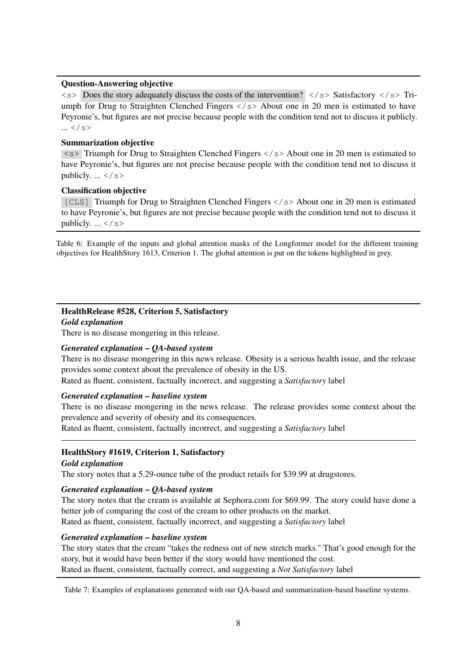### <span id="page-7-0"></span>Question-Answering objective

 $\langle$   $\langle$   $\rangle$  Does the story adequately discuss the costs of the intervention?  $\langle$   $\rangle$   $\langle$   $\rangle$   $\rangle$  Satisfactory  $\langle$   $\rangle$   $\langle$   $\rangle$   $\rangle$  Triumph for Drug to Straighten Clenched Fingers  $\langle$ /s> About one in 20 men is estimated to have Peyronie's, but figures are not precise because people with the condition tend not to discuss it publicly.  $...$  </s>

### Summarization objective

 $\langle$  s> Triumph for Drug to Straighten Clenched Fingers  $\langle$ /s> About one in 20 men is estimated to have Peyronie's, but figures are not precise because people with the condition tend not to discuss it publicly.  $\ldots$  </s>

#### Classification objective

[CLS] Triumph for Drug to Straighten Clenched Fingers </s> About one in 20 men is estimated to have Peyronie's, but figures are not precise because people with the condition tend not to discuss it publicly.  $\ldots$  </s>

Table 6: Example of the inputs and global attention masks of the Longformer model for the different training objectives for HealthStory 1613, Criterion 1. The global attention is put on the tokens highlighted in grey.

# <span id="page-7-1"></span>HealthRelease #528, Criterion 5, Satisfactory

*Gold explanation*

There is no disease mongering in this release.

### *Generated explanation – QA-based system*

There is no disease mongering in this news release. Obesity is a serious health issue, and the release provides some context about the prevalence of obesity in the US. Rated as fluent, consistent, factually incorrect, and suggesting a *Satisfactory* label

## *Generated explanation – baseline system*

There is no disease mongering in the news release. The release provides some context about the prevalence and severity of obesity and its consequences.

Rated as fluent, consistent, factually incorrect, and suggesting a *Satisfactory* label

### HealthStory #1619, Criterion 1, Satisfactory

#### *Gold explanation*

The story notes that a 5.29-ounce tube of the product retails for \$39.99 at drugstores.

#### *Generated explanation – QA-based system*

The story notes that the cream is available at Sephora.com for \$69.99. The story could have done a better job of comparing the cost of the cream to other products on the market. Rated as fluent, consistent, factually incorrect, and suggesting a *Satisfactory* label

#### *Generated explanation – baseline system*

The story states that the cream "takes the redness out of new stretch marks." That's good enough for the story, but it would have been better if the story would have mentioned the cost. Rated as fluent, consistent, factually correct, and suggesting a *Not Satisfactory* label

Table 7: Examples of explanations generated with our QA-based and summarization-based baseline systems.